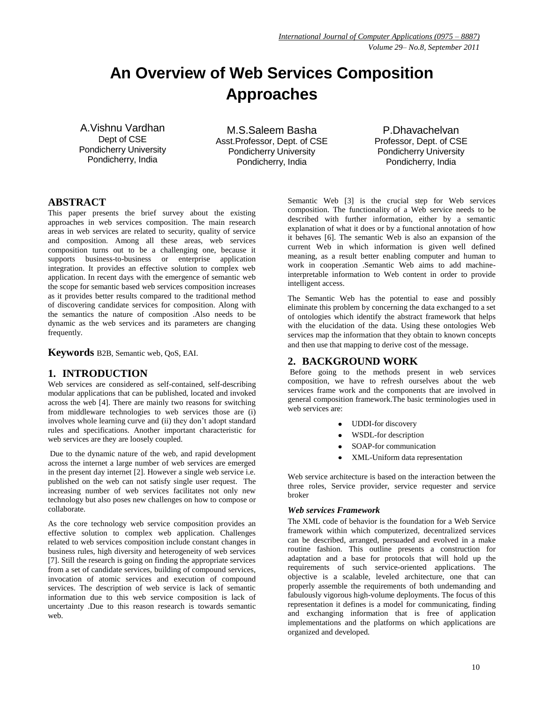# **An Overview of Web Services Composition Approaches**

A.Vishnu Vardhan Dept of CSE Pondicherry University Pondicherry, India

M.S.Saleem Basha Asst.Professor, Dept. of CSE Pondicherry University Pondicherry, India

P.Dhavachelvan Professor, Dept. of CSE Pondicherry University Pondicherry, India

# **ABSTRACT**

This paper presents the brief survey about the existing approaches in web services composition. The main research areas in web services are related to security, quality of service and composition. Among all these areas, web services composition turns out to be a challenging one, because it supports business-to-business or enterprise application integration. It provides an effective solution to complex web application. In recent days with the emergence of semantic web the scope for semantic based web services composition increases as it provides better results compared to the traditional method of discovering candidate services for composition. Along with the semantics the nature of composition .Also needs to be dynamic as the web services and its parameters are changing frequently.

**Keywords** B2B, Semantic web, QoS, EAI.

#### **1. INTRODUCTION**

Web services are considered as self-contained, self-describing modular applications that can be published, located and invoked across the web [4]. There are mainly two reasons for switching from middleware technologies to web services those are (i) involves whole learning curve and (ii) they don't adopt standard rules and specifications. Another important characteristic for web services are they are loosely coupled.

Due to the dynamic nature of the web, and rapid development across the internet a large number of web services are emerged in the present day internet [2]. However a single web service i.e. published on the web can not satisfy single user request. The increasing number of web services facilitates not only new technology but also poses new challenges on how to compose or collaborate.

As the core technology web service composition provides an effective solution to complex web application. Challenges related to web services composition include constant changes in business rules, high diversity and heterogeneity of web services [7]. Still the research is going on finding the appropriate services from a set of candidate services, building of compound services, invocation of atomic services and execution of compound services. The description of web service is lack of semantic information due to this web service composition is lack of uncertainty .Due to this reason research is towards semantic web.

Semantic Web [3] is the crucial step for Web services composition. The functionality of a Web service needs to be described with further information, either by a semantic explanation of what it does or by a functional annotation of how it behaves [6]. The semantic Web is also an expansion of the current Web in which information is given well defined meaning, as a result better enabling computer and human to work in cooperation .Semantic Web aims to add machineinterpretable information to Web content in order to provide intelligent access.

The Semantic Web has the potential to ease and possibly eliminate this problem by concerning the data exchanged to a set of ontologies which identify the abstract framework that helps with the elucidation of the data. Using these ontologies Web services map the information that they obtain to known concepts and then use that mapping to derive cost of the message.

# **2. BACKGROUND WORK**

Before going to the methods present in web services composition, we have to refresh ourselves about the web services frame work and the components that are involved in general composition framework.The basic terminologies used in web services are:

- UDDI-for discovery
- WSDL-for description
- SOAP-for communication
- XML-Uniform data representation

Web service architecture is based on the interaction between the three roles, Service provider, service requester and service broker

#### *Web services Framework*

The XML code of behavior is the foundation for a Web Service framework within which computerized, decentralized services can be described, arranged, persuaded and evolved in a make routine fashion. This outline presents a construction for adaptation and a base for protocols that will hold up the requirements of such service-oriented applications. The objective is a scalable, leveled architecture, one that can properly assemble the requirements of both undemanding and fabulously vigorous high-volume deployments. The focus of this representation it defines is a model for communicating, finding and exchanging information that is free of application implementations and the platforms on which applications are organized and developed.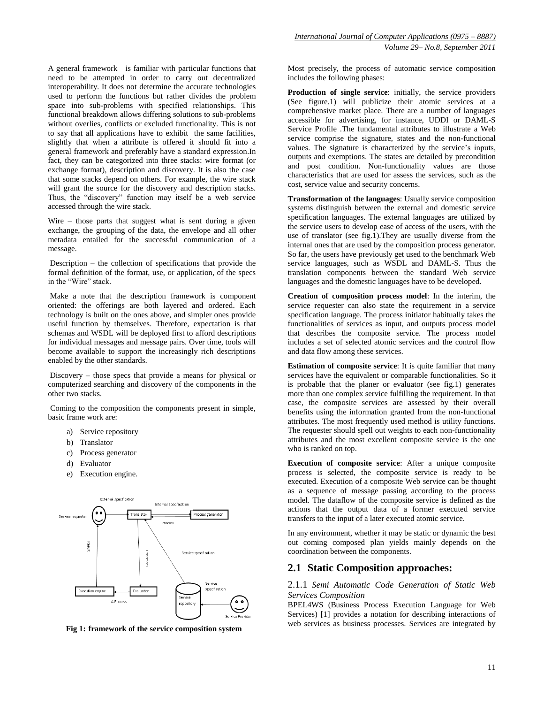A general framework is familiar with particular functions that need to be attempted in order to carry out decentralized interoperability. It does not determine the accurate technologies used to perform the functions but rather divides the problem space into sub-problems with specified relationships. This functional breakdown allows differing solutions to sub-problems without overlies, conflicts or excluded functionality. This is not to say that all applications have to exhibit the same facilities, slightly that when a attribute is offered it should fit into a general framework and preferably have a standard expression.In fact, they can be categorized into three stacks: wire format (or exchange format), description and discovery. It is also the case that some stacks depend on others. For example, the wire stack will grant the source for the discovery and description stacks. Thus, the "discovery" function may itself be a web service accessed through the wire stack.

Wire – those parts that suggest what is sent during a given exchange, the grouping of the data, the envelope and all other metadata entailed for the successful communication of a message.

Description – the collection of specifications that provide the formal definition of the format, use, or application, of the specs in the "Wire" stack.

Make a note that the description framework is component oriented: the offerings are both layered and ordered. Each technology is built on the ones above, and simpler ones provide useful function by themselves. Therefore, expectation is that schemas and WSDL will be deployed first to afford descriptions for individual messages and message pairs. Over time, tools will become available to support the increasingly rich descriptions enabled by the other standards.

Discovery – those specs that provide a means for physical or computerized searching and discovery of the components in the other two stacks.

Coming to the composition the components present in simple, basic frame work are:

- a) Service repository
- b) Translator
- c) Process generator
- d) Evaluator
- e) Execution engine.



 **Fig 1: framework of the service composition system**

Most precisely, the process of automatic service composition includes the following phases:

**Production of single service**: initially, the service providers (See figure.1) will publicize their atomic services at a comprehensive market place. There are a number of languages accessible for advertising, for instance, UDDI or DAML-S Service Profile .The fundamental attributes to illustrate a Web service comprise the signature, states and the non-functional values. The signature is characterized by the service's inputs, outputs and exemptions. The states are detailed by precondition and post condition. Non-functionality values are those characteristics that are used for assess the services, such as the cost, service value and security concerns.

**Transformation of the languages**: Usually service composition systems distinguish between the external and domestic service specification languages. The external languages are utilized by the service users to develop ease of access of the users, with the use of translator (see fig.1).They are usually diverse from the internal ones that are used by the composition process generator. So far, the users have previously get used to the benchmark Web service languages, such as WSDL and DAML-S. Thus the translation components between the standard Web service languages and the domestic languages have to be developed.

**Creation of composition process model**: In the interim, the service requester can also state the requirement in a service specification language. The process initiator habitually takes the functionalities of services as input, and outputs process model that describes the composite service. The process model includes a set of selected atomic services and the control flow and data flow among these services.

**Estimation of composite service**: It is quite familiar that many services have the equivalent or comparable functionalities. So it is probable that the planer or evaluator (see fig.1) generates more than one complex service fulfilling the requirement. In that case, the composite services are assessed by their overall benefits using the information granted from the non-functional attributes. The most frequently used method is utility functions. The requester should spell out weights to each non-functionality attributes and the most excellent composite service is the one who is ranked on top.

**Execution of composite service**: After a unique composite process is selected, the composite service is ready to be executed. Execution of a composite Web service can be thought as a sequence of message passing according to the process model. The dataflow of the composite service is defined as the actions that the output data of a former executed service transfers to the input of a later executed atomic service.

In any environment, whether it may be static or dynamic the best out coming composed plan yields mainly depends on the coordination between the components.

## **2.1 Static Composition approaches:**

2.1.1 *Semi Automatic Code Generation of Static Web Services Composition*

BPEL4WS (Business Process Execution Language for Web Services) [1] provides a notation for describing interactions of web services as business processes. Services are integrated by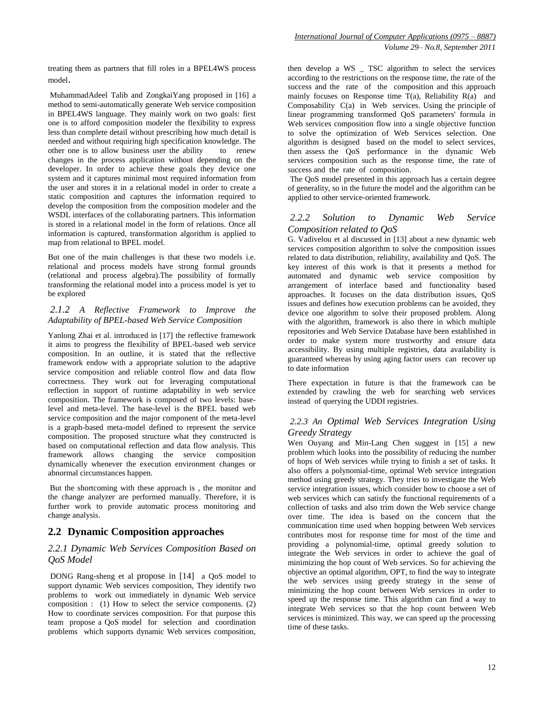MuhammadAdeel Talib and ZongkaiYang proposed in [16] a method to semi-automatically generate Web service composition in BPEL4WS language. They mainly work on two goals: first one is to afford composition modeler the flexibility to express less than complete detail without prescribing how much detail is needed and without requiring high specification knowledge. The other one is to allow business user the ability to renew changes in the process application without depending on the developer. In order to achieve these goals they device one system and it captures minimal most required information from the user and stores it in a relational model in order to create a static composition and captures the information required to develop the composition from the composition modeler and the WSDL interfaces of the collaborating partners. This information is stored in a relational model in the form of relations. Once all information is captured, transformation algorithm is applied to map from relational to BPEL model.

But one of the main challenges is that these two models i.e. relational and process models have strong formal grounds (relational and process algebra).The possibility of formally transforming the relational model into a process model is yet to be explored

#### *2.1.2 A Reflective Framework to Improve the Adaptability of BPEL-based Web Service Composition*

Yanlong Zhai et al. introduced in [17] the reflective framework it aims to progress the flexibility of BPEL-based web service composition. In an outline, it is stated that the reflective framework endow with a appropriate solution to the adaptive service composition and reliable control flow and data flow correctness. They work out for leveraging computational reflection in support of runtime adaptability in web service composition. The framework is composed of two levels: baselevel and meta-level. The base-level is the BPEL based web service composition and the major component of the meta-level is a graph-based meta-model defined to represent the service composition. The proposed structure what they constructed is based on computational reflection and data flow analysis. This framework allows changing the service composition dynamically whenever the execution environment changes or abnormal circumstances happen.

But the shortcoming with these approach is , the monitor and the change analyzer are performed manually. Therefore, it is further work to provide automatic process monitoring and change analysis.

# **2.2 Dynamic Composition approaches**

#### *2.2.1 Dynamic Web Services Composition Based on QoS Model*

DONG Rang-sheng et al propose in [14] a QoS model to support dynamic Web services composition, They identify two problems to work out immediately in dynamic Web service composition : (1) How to select the service components. (2) How to coordinate services composition. For that purpose this team propose a QoS model for selection and coordination problems which supports dynamic Web services composition,

then develop a WS \_ TSC algorithm to select the services according to the restrictions on the response time, the rate of the success and the rate of the composition and this approach mainly focuses on Response time  $T(a)$ , Reliability  $R(a)$  and Composability  $C(a)$  in Web services. Using the principle of linear programming transformed QoS parameters' formula in Web services composition flow into a single objective function to solve the optimization of Web Services selection. One algorithm is designed based on the model to select services, then assess the QoS performance in the dynamic Web services composition such as the response time, the rate of success and the rate of composition.

The QoS model presented in this approach has a certain degree of generality, so in the future the model and the algorithm can be applied to other service-oriented framework.

#### *2.2.2 Solution to Dynamic Web Service Composition related to QoS*

G. Vadivelou et al discussed in [13] about a new dynamic web services composition algorithm to solve the composition issues related to data distribution, reliability, availability and QoS. The key interest of this work is that it presents a method for automated and dynamic web service composition by arrangement of interface based and functionality based approaches. It focuses on the data distribution issues, QoS issues and defines how execution problems can be avoided, they device one algorithm to solve their proposed problem. Along with the algorithm, framework is also there in which multiple repositories and Web Service Database have been established in order to make system more trustworthy and ensure data accessibility. By using multiple registries, data availability is guaranteed whereas by using aging factor users can recover up to date information

There expectation in future is that the framework can be extended by crawling the web for searching web services instead of querying the UDDI registries.

#### *2.2.3 An Optimal Web Services Integration Using Greedy Strategy*

Wen Ouyang and Min-Lang Chen suggest in [15] a new problem which looks into the possibility of reducing the number of hops of Web services while trying to finish a set of tasks. It also offers a polynomial-time, optimal Web service integration method using greedy strategy. They tries to investigate the Web service integration issues, which consider how to choose a set of web services which can satisfy the functional requirements of a collection of tasks and also trim down the Web service change over time. The idea is based on the concern that the communication time used when hopping between Web services contributes most for response time for most of the time and providing a polynomial-time, optimal greedy solution to integrate the Web services in order to achieve the goal of minimizing the hop count of Web services. So for achieving the objective an optimal algorithm, OPT, to find the way to integrate the web services using greedy strategy in the sense of minimizing the hop count between Web services in order to speed up the response time. This algorithm can find a way to integrate Web services so that the hop count between Web services is minimized. This way, we can speed up the processing time of these tasks.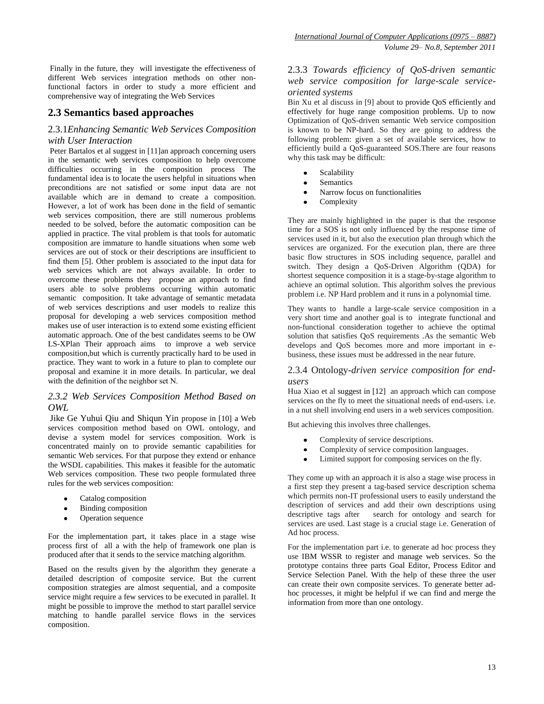Finally in the future, they will investigate the effectiveness of different Web services integration methods on other nonfunctional factors in order to study a more efficient and comprehensive way of integrating the Web Services

## **2.3 Semantics based approaches**

#### 2.3.1*Enhancing Semantic Web Services Composition with User Interaction*

Peter Bartalos et al suggest in [11]an approach concerning users in the semantic web services composition to help overcome difficulties occurring in the composition process The fundamental idea is to locate the users helpful in situations when preconditions are not satisfied or some input data are not available which are in demand to create a composition. However, a lot of work has been done in the field of semantic web services composition, there are still numerous problems needed to be solved, before the automatic composition can be applied in practice. The vital problem is that tools for automatic composition are immature to handle situations when some web services are out of stock or their descriptions are insufficient to find them [5]. Other problem is associated to the input data for web services which are not always available. In order to overcome these problems they propose an approach to find users able to solve problems occurring within automatic semantic composition. It take advantage of semantic metadata of web services descriptions and user models to realize this proposal for developing a web services composition method makes use of user interaction is to extend some existing efficient automatic approach. One of the best candidates seems to be OW LS-XPlan Their approach aims to improve a web service composition,but which is currently practically hard to be used in practice. They want to work in a future to plan to complete our proposal and examine it in more details. In particular, we deal with the definition of the neighbor set N.

#### *2.3.2 Web Services Composition Method Based on OWL*

Jike Ge Yuhui Qiu and Shiqun Yin propose in [10] a Web services composition method based on OWL ontology, and devise a system model for services composition. Work is concentrated mainly on to provide semantic capabilities for semantic Web services. For that purpose they extend or enhance the WSDL capabilities. This makes it feasible for the automatic Web services composition. These two people formulated three rules for the web services composition:

- Catalog composition
- Binding composition
- Operation sequence

For the implementation part, it takes place in a stage wise process first of all a with the help of framework one plan is produced after that it sends to the service matching algorithm.

Based on the results given by the algorithm they generate a detailed description of composite service. But the current composition strategies are almost sequential, and a composite service might require a few services to be executed in parallel. It might be possible to improve the method to start parallel service matching to handle parallel service flows in the services composition.

## 2.3.3 *Towards efficiency of QoS-driven semantic web service composition for large-scale serviceoriented systems*

Bin Xu et al discuss in [9] about to provide QoS efficiently and effectively for huge range composition problems. Up to now Optimization of QoS-driven semantic Web service composition is known to be NP-hard. So they are going to address the following problem: given a set of available services, how to efficiently build a QoS-guaranteed SOS.There are four reasons why this task may be difficult:

- Scalability  $\bullet$
- **Semantics**
- Narrow focus on functionalities
- $\bullet$ Complexity

They are mainly highlighted in the paper is that the response time for a SOS is not only influenced by the response time of services used in it, but also the execution plan through which the services are organized. For the execution plan, there are three basic flow structures in SOS including sequence, parallel and switch. They design a QoS-Driven Algorithm (QDA) for shortest sequence composition it is a stage-by-stage algorithm to achieve an optimal solution. This algorithm solves the previous problem i.e. NP Hard problem and it runs in a polynomial time.

They wants to handle a large-scale service composition in a very short time and another goal is to integrate functional and non-functional consideration together to achieve the optimal solution that satisfies QoS requirements .As the semantic Web develops and QoS becomes more and more important in ebusiness, these issues must be addressed in the near future.

#### 2.3.4 Ontology*-driven service composition for endusers*

Hua Xiao et al suggest in [12] an approach which can compose services on the fly to meet the situational needs of end-users. i.e. in a nut shell involving end users in a web services composition.

But achieving this involves three challenges.

- Complexity of service descriptions.
- Complexity of service composition languages.
- Limited support for composing services on the fly.

They come up with an approach it is also a stage wise process in a first step they present a tag-based service description schema which permits non-IT professional users to easily understand the description of services and add their own descriptions using<br>descriptive tags after search for ontology and search for search for ontology and search for services are used. Last stage is a crucial stage i.e. Generation of Ad hoc process.

For the implementation part i.e. to generate ad hoc process they use IBM WSSR to register and manage web services. So the prototype contains three parts Goal Editor, Process Editor and Service Selection Panel. With the help of these three the user can create their own composite services. To generate better adhoc processes, it might be helpful if we can find and merge the information from more than one ontology.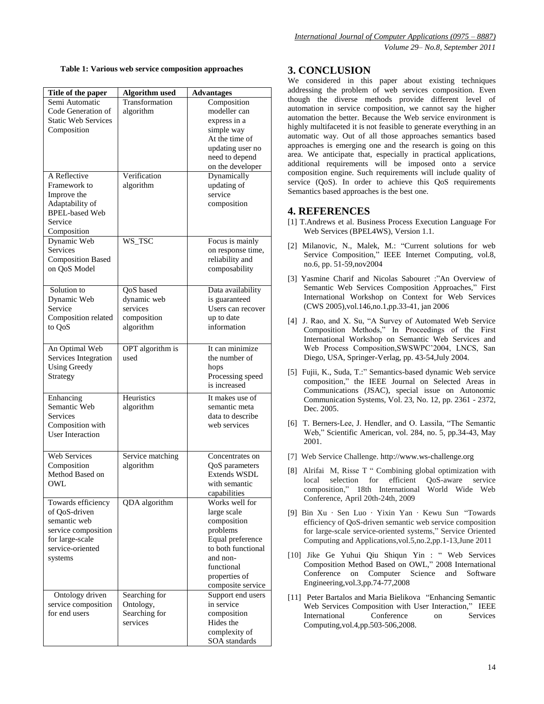|  |  |  |  | Table 1: Various web service composition approaches |  |
|--|--|--|--|-----------------------------------------------------|--|
|--|--|--|--|-----------------------------------------------------|--|

| Title of the paper         | <b>Algorithm</b> used | <b>Advantages</b>  |  |
|----------------------------|-----------------------|--------------------|--|
| Semi Automatic             | Transformation        | Composition        |  |
| Code Generation of         | algorithm             | modeller can       |  |
| <b>Static Web Services</b> |                       | express in a       |  |
| Composition                |                       | simple way         |  |
|                            |                       | At the time of     |  |
|                            |                       | updating user no   |  |
|                            |                       | need to depend     |  |
|                            |                       | on the developer   |  |
| A Reflective               | Verification          | Dynamically        |  |
| Framework to               | algorithm             | updating of        |  |
| Improve the                |                       | service            |  |
| Adaptability of            |                       | composition        |  |
| <b>BPEL-based Web</b>      |                       |                    |  |
| Service                    |                       |                    |  |
| Composition                |                       |                    |  |
| Dynamic Web                | WS_TSC                | Focus is mainly    |  |
| Services                   |                       | on response time,  |  |
| <b>Composition Based</b>   |                       | reliability and    |  |
| on QoS Model               |                       | composability      |  |
|                            |                       |                    |  |
| Solution to                | QoS based             | Data availability  |  |
| Dynamic Web                | dynamic web           | is guaranteed      |  |
| Service                    | services              | Users can recover  |  |
| Composition related        | composition           | up to date         |  |
| to QoS                     | algorithm             | information        |  |
|                            |                       |                    |  |
| An Optimal Web             | OPT algorithm is      | It can minimize    |  |
| Services Integration       | used                  | the number of      |  |
| <b>Using Greedy</b>        |                       | hops               |  |
| Strategy                   |                       | Processing speed   |  |
|                            |                       | is increased       |  |
| Enhancing                  | Heuristics            | It makes use of    |  |
| Semantic Web               | algorithm             | semantic meta      |  |
| <b>Services</b>            |                       | data to describe   |  |
| Composition with           |                       | web services       |  |
| <b>User Interaction</b>    |                       |                    |  |
|                            |                       |                    |  |
| Web Services               | Service matching      | Concentrates on    |  |
| Composition                | algorithm             | QoS parameters     |  |
| Method Based on            |                       | Extends WSDL       |  |
| OWL                        |                       | with semantic      |  |
|                            |                       | capabilities       |  |
| Towards efficiency         | QDA algorithm         | Works well for     |  |
| of QoS-driven              |                       | large scale        |  |
| semantic web               |                       | composition        |  |
| service composition        |                       | problems           |  |
| for large-scale            |                       | Equal preference   |  |
| service-oriented           |                       | to both functional |  |
| systems                    |                       | and non-           |  |
|                            |                       | functional         |  |
|                            |                       | properties of      |  |
|                            |                       | composite service  |  |
| Ontology driven            | Searching for         | Support end users  |  |
| service composition        | Ontology,             | in service         |  |
| for end users              | Searching for         | composition        |  |
|                            | services              | Hides the          |  |
|                            |                       | complexity of      |  |
|                            |                       | SOA standards      |  |

# **Table 1: Various web service composition approaches 3. CONCLUSION**

We considered in this paper about existing techniques addressing the problem of web services composition. Even though the diverse methods provide different level of automation in service composition, we cannot say the higher automation the better. Because the Web service environment is highly multifaceted it is not feasible to generate everything in an automatic way. Out of all those approaches semantics based approaches is emerging one and the research is going on this area. We anticipate that, especially in practical applications, additional requirements will be imposed onto a service composition engine. Such requirements will include quality of service (QoS). In order to achieve this QoS requirements Semantics based approaches is the best one.

# **4. REFERENCES**

- [1] T.Andrews et al. Business Process Execution Language For Web Services (BPEL4WS), Version 1.1.
- [2] Milanovic, N., Malek, M.: "Current solutions for web Service Composition," IEEE Internet Computing, vol.8, no.6, pp. 51-59,nov2004
- [3] Yasmine Charif and Nicolas Sabouret :"An Overview of Semantic Web Services Composition Approaches," First International Workshop on Context for Web Services (CWS 2005),vol.146,no.1,pp.33-41, jan 2006
- [4] J. Rao, and X. Su, "A Survey of Automated Web Service Composition Methods," In Proceedings of the First International Workshop on Semantic Web Services and Web Process Composition,SWSWPC'2004, LNCS, San Diego, USA, Springer-Verlag, pp. 43-54,July 2004.
- [5] Fujii, K., Suda, T.:" Semantics-based dynamic Web service composition," the IEEE Journal on Selected Areas in Communications (JSAC), special issue on Autonomic Communication Systems, Vol. 23, No. 12, pp. 2361 - 2372, Dec. 2005.
- [6] T. Berners-Lee, J. Hendler, and O. Lassila, "The Semantic Web," Scientific American, vol. 284, no. 5, pp.34-43, May 2001.
- [7] Web Service Challenge. http://www.ws-challenge.org
- [8] Alrifai M, Risse T " Combining global optimization with local selection for efficient QoS-aware service composition," 18th International World Wide Web Conference, April 20th-24th, 2009
- [9] Bin Xu · Sen Luo · Yixin Yan · Kewu Sun "Towards efficiency of QoS-driven semantic web service composition for large-scale service-oriented systems," Service Oriented Computing and Applications,vol.5,no.2,pp.1-13,June 2011
- [10] Jike Ge Yuhui Qiu Shiqun Yin : " Web Services Composition Method Based on OWL," 2008 International Conference on Computer Science and Software Engineering,vol.3,pp.74-77,2008
- [11] Peter Bartalos and Maria Bielikova "Enhancing Semantic Web Services Composition with User Interaction," IEEE<br>International Conference on Services **International** Computing,vol.4,pp.503-506,2008.